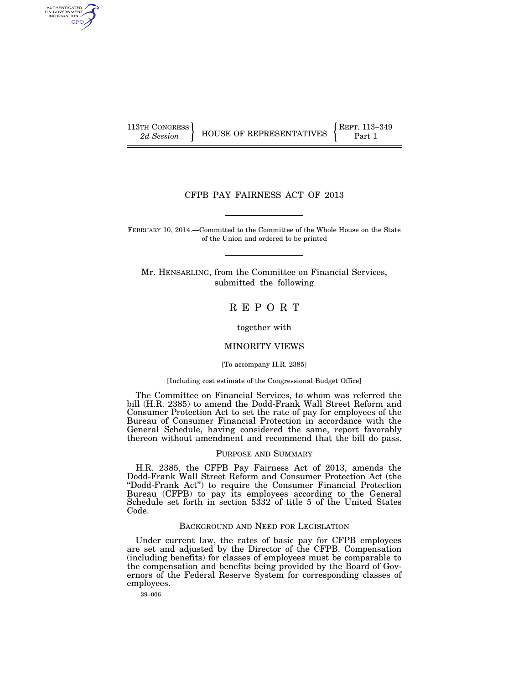AUTHENTICATED<br>U.S. GOVERNMENT<br>INFORMATION **GPO** 

113TH CONGRESS **REPRESENTATIVES** REPRESENTATIVES **Part 1** 

## CFPB PAY FAIRNESS ACT OF 2013

FEBRUARY 10, 2014.—Committed to the Committee of the Whole House on the State of the Union and ordered to be printed

Mr. HENSARLING, from the Committee on Financial Services, submitted the following

## R E P O R T

together with

## MINORITY VIEWS

### [To accompany H.R. 2385]

#### [Including cost estimate of the Congressional Budget Office]

The Committee on Financial Services, to whom was referred the bill (H.R. 2385) to amend the Dodd-Frank Wall Street Reform and Consumer Protection Act to set the rate of pay for employees of the Bureau of Consumer Financial Protection in accordance with the General Schedule, having considered the same, report favorably thereon without amendment and recommend that the bill do pass.

#### PURPOSE AND SUMMARY

H.R. 2385, the CFPB Pay Fairness Act of 2013, amends the Dodd-Frank Wall Street Reform and Consumer Protection Act (the ''Dodd-Frank Act'') to require the Consumer Financial Protection Bureau (CFPB) to pay its employees according to the General Schedule set forth in section 5332 of title 5 of the United States Code.

## BACKGROUND AND NEED FOR LEGISLATION

Under current law, the rates of basic pay for CFPB employees are set and adjusted by the Director of the CFPB. Compensation (including benefits) for classes of employees must be comparable to the compensation and benefits being provided by the Board of Governors of the Federal Reserve System for corresponding classes of employees.

39–006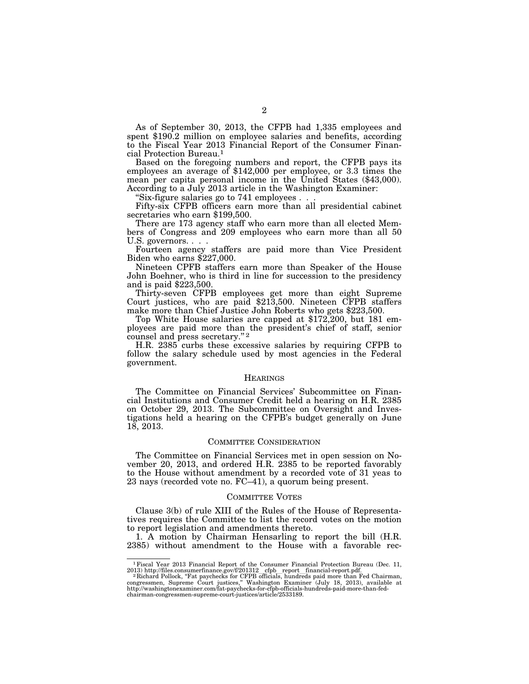As of September 30, 2013, the CFPB had 1,335 employees and spent \$190.2 million on employee salaries and benefits, according to the Fiscal Year 2013 Financial Report of the Consumer Financial Protection Bureau.1

Based on the foregoing numbers and report, the CFPB pays its employees an average of \$142,000 per employee, or 3.3 times the mean per capita personal income in the United States (\$43,000). According to a July 2013 article in the Washington Examiner:

''Six-figure salaries go to 741 employees . . .

Fifty-six CFPB officers earn more than all presidential cabinet secretaries who earn \$199,500.

There are 173 agency staff who earn more than all elected Members of Congress and 209 employees who earn more than all 50 U.S. governors. . . .

Fourteen agency staffers are paid more than Vice President Biden who earns \$227,000.

Nineteen CPFB staffers earn more than Speaker of the House John Boehner, who is third in line for succession to the presidency and is paid \$223,500.

Thirty-seven CFPB employees get more than eight Supreme Court justices, who are paid \$213,500. Nineteen CFPB staffers make more than Chief Justice John Roberts who gets \$223,500.

Top White House salaries are capped at \$172,200, but 181 employees are paid more than the president's chief of staff, senior counsel and press secretary."<sup>2</sup>

H.R. 2385 curbs these excessive salaries by requiring CFPB to follow the salary schedule used by most agencies in the Federal government.

#### **HEARINGS**

The Committee on Financial Services' Subcommittee on Financial Institutions and Consumer Credit held a hearing on H.R. 2385 on October 29, 2013. The Subcommittee on Oversight and Investigations held a hearing on the CFPB's budget generally on June 18, 2013.

#### COMMITTEE CONSIDERATION

The Committee on Financial Services met in open session on November 20, 2013, and ordered H.R. 2385 to be reported favorably to the House without amendment by a recorded vote of 31 yeas to 23 nays (recorded vote no. FC–41), a quorum being present.

#### COMMITTEE VOTES

Clause 3(b) of rule XIII of the Rules of the House of Representatives requires the Committee to list the record votes on the motion to report legislation and amendments thereto.

1. A motion by Chairman Hensarling to report the bill (H.R. 2385) without amendment to the House with a favorable rec-

<sup>&</sup>lt;sup>1</sup> Fiscal Year 2013 Financial Report of the Consumer Financial Protection Bureau (Dec. 11, 2013) http://files.consumerfinance.gov/f/201312 cfpb report\_financial-report.pdf. <br><sup>2</sup> Richard Pollock, "Fat paychecks for CFPB o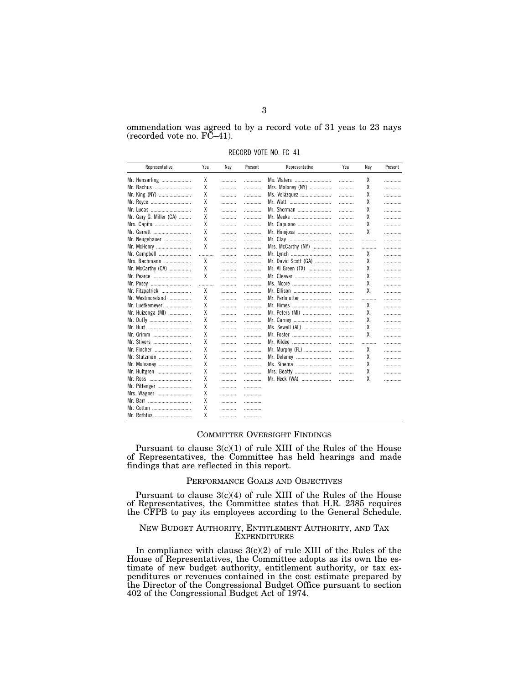ommendation was agreed to by a record vote of 31 yeas to 23 nays  $(recorded vote no. FC-41).$ 

RECORD VOTE NO. FC–41

| Representative          | Yea | Nay | Present | Representative       | Yea | Nay | Present |
|-------------------------|-----|-----|---------|----------------------|-----|-----|---------|
| Mr. Hensarling          | χ   | .   | .       | Ms. Waters           | .   | χ   | .       |
| Mr. Bachus              | χ   | .   | .       | Mrs. Maloney (NY)    |     | χ   |         |
| Mr. King (NY)           | χ   | .   | .       | Ms. Velázquez        |     | χ   | .       |
| Mr. Royce               | χ   | .   | .       | Mr. Watt             |     | χ   | .       |
| Mr. Lucas               | χ   | .   | .       | Mr. Sherman          |     | χ   | .       |
| Mr. Gary G. Miller (CA) | χ   | .   | .       | Mr. Meeks            | .   | χ   | .       |
| Mrs. Capito             | X   | .   | .       | Mr. Capuano          | .   | χ   | .       |
| Mr. Garrett             | χ   | .   | .       | Mr. Hinojosa         | .   | χ   | .       |
| Mr. Neugebauer          | χ   | .   | .       | Mr. Clay             | .   |     | .       |
| Mr. McHenry             | χ   | .   | .       | Mrs. McCarthy (NY)   | .   |     | .       |
| Mr. Campbell            | .   |     | .       | Mr. Lynch            | .   | χ   |         |
| Mrs. Bachmann           | χ   | .   | .       | Mr. David Scott (GA) | .   | χ   | .       |
| Mr. McCarthy (CA)       | X   | .   | .       | Mr. Al Green (TX)    |     | χ   | .       |
| Mr. Pearce              | X   | .   | .       | Mr. Cleaver          |     | χ   | .       |
| Mr. Posey               | .   | .   | .       | Ms. Moore            | .   | χ   | .       |
| Mr. Fitzpatrick         | χ   | .   | .       | Mr. Ellison          |     | χ   | .       |
| Mr. Westmoreland        | χ   | .   | .       | Mr. Perlmutter       |     |     | .       |
| Mr. Luetkemeyer         | χ   | .   | .       | Mr. Himes            |     | χ   | .       |
| Mr. Huizenga (MI)       | χ   |     | .       | Mr. Peters (MI)      |     | χ   | .       |
| Mr. Duffy               | χ   |     | .       | Mr. Carney           |     | χ   | .       |
| Mr. Hurt                | χ   | .   | .       | Ms. Sewell (AL)      |     | χ   | .       |
| Mr. Grimm               | χ   |     | .       | Mr. Foster           |     | χ   |         |
| Mr. Stivers             | χ   |     |         | Mr. Kildee           |     |     | .       |
| Mr. Fincher             | χ   |     | .       | Mr. Murphy (FL)      |     | χ   | .       |
| Mr. Stutzman            | χ   |     | .       | Mr. Delaney          |     | χ   | .       |
| Mr. Mulvaney            | χ   | .   | .       | Ms. Sinema           |     | χ   | .       |
| Mr. Hultgren            | χ   | .   | .       | Mrs. Beatty          | .   | χ   | .       |
| Mr. Ross                | X   | .   | .       | Mr. Heck (WA)        | .   | χ   | .       |
| Mr. Pittenger           | X   | .   | .       |                      |     |     |         |
|                         | χ   | .   |         |                      |     |     |         |
|                         | χ   | .   | .       |                      |     |     |         |
| Mr. Cotton              | χ   | .   | .       |                      |     |     |         |
| Mr. Rothfus             | χ   | .   | .       |                      |     |     |         |

## COMMITTEE OVERSIGHT FINDINGS

Pursuant to clause 3(c)(1) of rule XIII of the Rules of the House of Representatives, the Committee has held hearings and made findings that are reflected in this report.

#### PERFORMANCE GOALS AND OBJECTIVES

Pursuant to clause 3(c)(4) of rule XIII of the Rules of the House of Representatives, the Committee states that H.R. 2385 requires the CFPB to pay its employees according to the General Schedule.

## NEW BUDGET AUTHORITY, ENTITLEMENT AUTHORITY, AND TAX **EXPENDITURES**

In compliance with clause 3(c)(2) of rule XIII of the Rules of the House of Representatives, the Committee adopts as its own the estimate of new budget authority, entitlement authority, or tax expenditures or revenues contained in the cost estimate prepared by the Director of the Congressional Budget Office pursuant to section 402 of the Congressional Budget Act of 1974.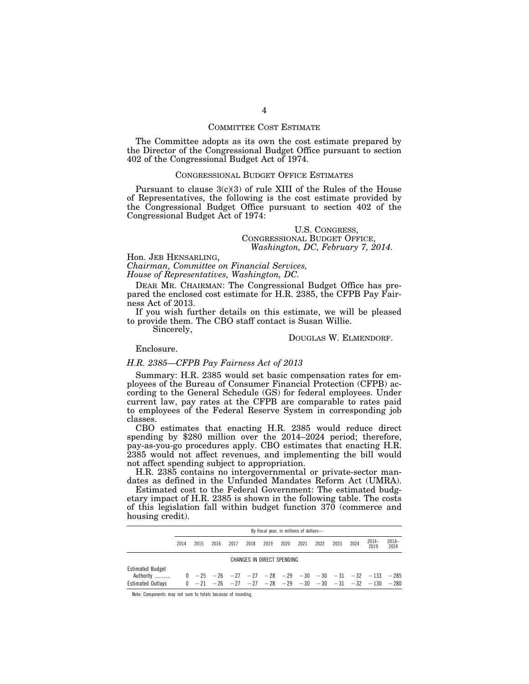#### COMMITTEE COST ESTIMATE

The Committee adopts as its own the cost estimate prepared by the Director of the Congressional Budget Office pursuant to section 402 of the Congressional Budget Act of 1974.

### CONGRESSIONAL BUDGET OFFICE ESTIMATES

Pursuant to clause 3(c)(3) of rule XIII of the Rules of the House of Representatives, the following is the cost estimate provided by the Congressional Budget Office pursuant to section 402 of the Congressional Budget Act of 1974:

#### U.S. CONGRESS, CONGRESSIONAL BUDGET OFFICE, *Washington, DC, February 7, 2014.*

Hon. JEB HENSARLING,

*Chairman, Committee on Financial Services, House of Representatives, Washington, DC.* 

DEAR MR. CHAIRMAN: The Congressional Budget Office has prepared the enclosed cost estimate for H.R. 2385, the CFPB Pay Fairness Act of 2013.

If you wish further details on this estimate, we will be pleased to provide them. The CBO staff contact is Susan Willie.

Sincerely,

DOUGLAS W. ELMENDORF.

Enclosure.

#### *H.R. 2385—CFPB Pay Fairness Act of 2013*

Summary: H.R. 2385 would set basic compensation rates for employees of the Bureau of Consumer Financial Protection (CFPB) according to the General Schedule (GS) for federal employees. Under current law, pay rates at the CFPB are comparable to rates paid to employees of the Federal Reserve System in corresponding job classes.

CBO estimates that enacting H.R. 2385 would reduce direct spending by \$280 million over the 2014–2024 period; therefore, pay-as-you-go procedures apply. CBO estimates that enacting H.R. 2385 would not affect revenues, and implementing the bill would not affect spending subject to appropriation.

H.R. 2385 contains no intergovernmental or private-sector mandates as defined in the Unfunded Mandates Reform Act (UMRA).

Estimated cost to the Federal Government: The estimated budgetary impact of H.R. 2385 is shown in the following table. The costs of this legislation fall within budget function 370 (commerce and housing credit).

|                                                                  | By fiscal year, in millions of dollars- |      |      |      |      |                            |      |      |      |      |      |                                                                                                                                                                |                 |
|------------------------------------------------------------------|-----------------------------------------|------|------|------|------|----------------------------|------|------|------|------|------|----------------------------------------------------------------------------------------------------------------------------------------------------------------|-----------------|
|                                                                  | 2014                                    | 2015 | 2016 | 2017 | 2018 | 2019                       | 2020 | 2021 | 2022 | 2023 | 2024 | $2014-$<br>2019                                                                                                                                                | $2014-$<br>2024 |
|                                                                  |                                         |      |      |      |      | CHANGES IN DIRECT SPENDING |      |      |      |      |      |                                                                                                                                                                |                 |
| <b>Estimated Budget</b><br>Authority<br><b>Estimated Outlavs</b> |                                         |      |      |      |      |                            |      |      |      |      |      | $0$ $-25$ $-26$ $-27$ $-27$ $-28$ $-29$ $-30$ $-30$ $-31$ $-32$ $-133$ $-285$<br>$0$ $-21$ $-26$ $-27$ $-27$ $-28$ $-29$ $-30$ $-30$ $-31$ $-32$ $-130$ $-280$ |                 |

Note: Components may not sum to totals because of rounding.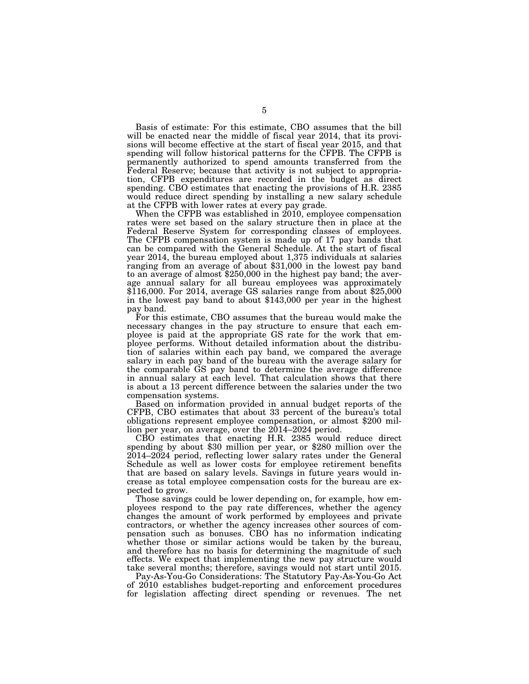Basis of estimate: For this estimate, CBO assumes that the bill will be enacted near the middle of fiscal year 2014, that its provisions will become effective at the start of fiscal year 2015, and that spending will follow historical patterns for the CFPB. The CFPB is permanently authorized to spend amounts transferred from the Federal Reserve; because that activity is not subject to appropriation, CFPB expenditures are recorded in the budget as direct spending. CBO estimates that enacting the provisions of H.R. 2385 would reduce direct spending by installing a new salary schedule at the CFPB with lower rates at every pay grade.

When the CFPB was established in 2010, employee compensation rates were set based on the salary structure then in place at the Federal Reserve System for corresponding classes of employees. The CFPB compensation system is made up of 17 pay bands that can be compared with the General Schedule. At the start of fiscal year 2014, the bureau employed about 1,375 individuals at salaries ranging from an average of about \$31,000 in the lowest pay band to an average of almost \$250,000 in the highest pay band; the average annual salary for all bureau employees was approximately \$116,000. For 2014, average GS salaries range from about \$25,000 in the lowest pay band to about \$143,000 per year in the highest pay band.

For this estimate, CBO assumes that the bureau would make the necessary changes in the pay structure to ensure that each employee is paid at the appropriate GS rate for the work that employee performs. Without detailed information about the distribution of salaries within each pay band, we compared the average salary in each pay band of the bureau with the average salary for the comparable GS pay band to determine the average difference in annual salary at each level. That calculation shows that there is about a 13 percent difference between the salaries under the two compensation systems.

Based on information provided in annual budget reports of the CFPB, CBO estimates that about 33 percent of the bureau's total obligations represent employee compensation, or almost \$200 million per year, on average, over the 2014–2024 period.

CBO estimates that enacting H.R. 2385 would reduce direct spending by about \$30 million per year, or \$280 million over the 2014–2024 period, reflecting lower salary rates under the General Schedule as well as lower costs for employee retirement benefits that are based on salary levels. Savings in future years would increase as total employee compensation costs for the bureau are expected to grow.

Those savings could be lower depending on, for example, how employees respond to the pay rate differences, whether the agency changes the amount of work performed by employees and private contractors, or whether the agency increases other sources of compensation such as bonuses. CBO has no information indicating whether those or similar actions would be taken by the bureau, and therefore has no basis for determining the magnitude of such effects. We expect that implementing the new pay structure would take several months; therefore, savings would not start until 2015.

Pay-As-You-Go Considerations: The Statutory Pay-As-You-Go Act of 2010 establishes budget-reporting and enforcement procedures for legislation affecting direct spending or revenues. The net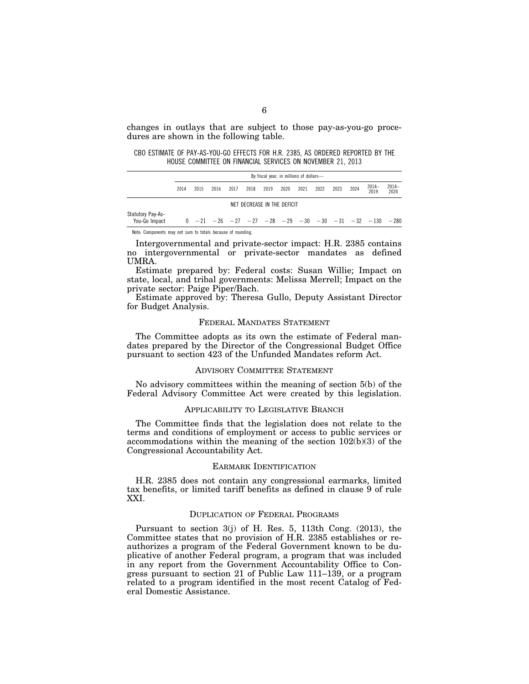changes in outlays that are subject to those pay-as-you-go procedures are shown in the following table.

CBO ESTIMATE OF PAY-AS-YOU-GO EFFECTS FOR H.R. 2385, AS ORDERED REPORTED BY THE HOUSE COMMITTEE ON FINANCIAL SERVICES ON NOVEMBER 21, 2013

|                                    |      | By fiscal year, in millions of dollars- |      |      |                             |      |      |      |      |      |      |                                                                               |                 |
|------------------------------------|------|-----------------------------------------|------|------|-----------------------------|------|------|------|------|------|------|-------------------------------------------------------------------------------|-----------------|
|                                    | 2014 | 2015                                    | 2016 | 2017 | 2018                        | 2019 | 2020 | 2021 | 2022 | 2023 | 2024 | $2014-$<br>2019                                                               | $2014-$<br>2024 |
|                                    |      |                                         |      |      | NET DECREASE IN THE DEFICIT |      |      |      |      |      |      |                                                                               |                 |
| Statutory Pay-As-<br>You-Go Impact |      |                                         |      |      |                             |      |      |      |      |      |      | $0$ $-21$ $-26$ $-27$ $-27$ $-28$ $-29$ $-30$ $-30$ $-31$ $-32$ $-130$ $-280$ |                 |

Intergovernmental and private-sector impact: H.R. 2385 contains no intergovernmental or private-sector mandates as defined UMRA.

Estimate prepared by: Federal costs: Susan Willie; Impact on state, local, and tribal governments: Melissa Merrell; Impact on the private sector: Paige Piper/Bach.

Estimate approved by: Theresa Gullo, Deputy Assistant Director for Budget Analysis.

## FEDERAL MANDATES STATEMENT

The Committee adopts as its own the estimate of Federal mandates prepared by the Director of the Congressional Budget Office pursuant to section 423 of the Unfunded Mandates reform Act.

## ADVISORY COMMITTEE STATEMENT

No advisory committees within the meaning of section 5(b) of the Federal Advisory Committee Act were created by this legislation.

#### APPLICABILITY TO LEGISLATIVE BRANCH

The Committee finds that the legislation does not relate to the terms and conditions of employment or access to public services or accommodations within the meaning of the section 102(b)(3) of the Congressional Accountability Act.

#### EARMARK IDENTIFICATION

H.R. 2385 does not contain any congressional earmarks, limited tax benefits, or limited tariff benefits as defined in clause 9 of rule XXI.

#### DUPLICATION OF FEDERAL PROGRAMS

Pursuant to section 3(j) of H. Res. 5, 113th Cong. (2013), the Committee states that no provision of H.R. 2385 establishes or reauthorizes a program of the Federal Government known to be duplicative of another Federal program, a program that was included in any report from the Government Accountability Office to Congress pursuant to section 21 of Public Law 111–139, or a program related to a program identified in the most recent Catalog of Federal Domestic Assistance.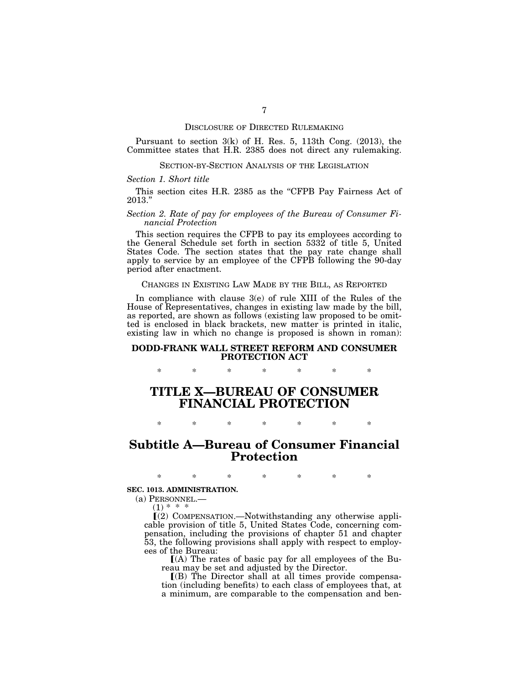#### DISCLOSURE OF DIRECTED RULEMAKING

Pursuant to section 3(k) of H. Res. 5, 113th Cong. (2013), the Committee states that H.R. 2385 does not direct any rulemaking.

#### SECTION-BY-SECTION ANALYSIS OF THE LEGISLATION

#### *Section 1. Short title*

This section cites H.R. 2385 as the "CFPB Pay Fairness Act of 2013.''

#### *Section 2. Rate of pay for employees of the Bureau of Consumer Financial Protection*

This section requires the CFPB to pay its employees according to the General Schedule set forth in section 5332 of title 5, United States Code. The section states that the pay rate change shall apply to service by an employee of the CFPB following the 90-day period after enactment.

### CHANGES IN EXISTING LAW MADE BY THE BILL, AS REPORTED

In compliance with clause 3(e) of rule XIII of the Rules of the House of Representatives, changes in existing law made by the bill, as reported, are shown as follows (existing law proposed to be omitted is enclosed in black brackets, new matter is printed in italic, existing law in which no change is proposed is shown in roman):

## **DODD-FRANK WALL STREET REFORM AND CONSUMER PROTECTION ACT**

\* \* \* \* \* \* \*

# **TITLE X—BUREAU OF CONSUMER FINANCIAL PROTECTION**

# **Subtitle A—Bureau of Consumer Financial Protection**

\* \* \* \* \* \* \*

\* \* \* \* \* \* \*

#### **SEC. 1013. ADMINISTRATION.**

(a) PERSONNEL.—

 $(1) * * *$ 

 $(2)$  COMPENSATION.—Notwithstanding any otherwise applicable provision of title 5, United States Code, concerning compensation, including the provisions of chapter 51 and chapter 53, the following provisions shall apply with respect to employees of the Bureau:

 $[(A)$  The rates of basic pay for all employees of the Bureau may be set and adjusted by the Director.

 $($ B) The Director shall at all times provide compensation (including benefits) to each class of employees that, at a minimum, are comparable to the compensation and ben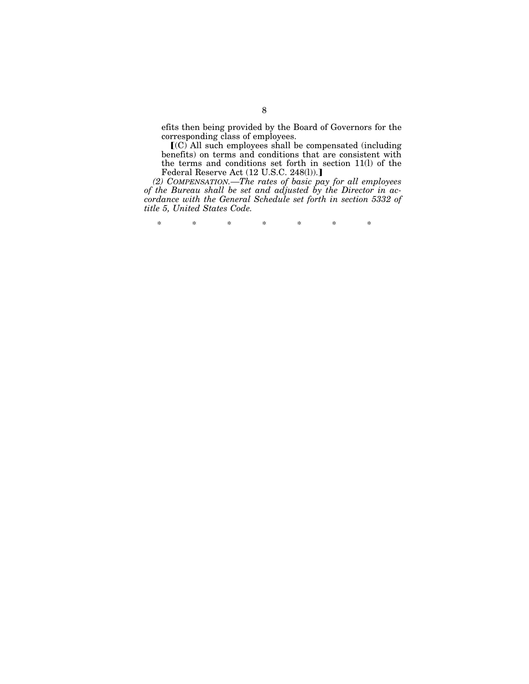efits then being provided by the Board of Governors for the corresponding class of employees.

 $(C)$  All such employees shall be compensated (including benefits) on terms and conditions that are consistent with the terms and conditions set forth in section 11(l) of the Federal Reserve Act (12 U.S.C. 248(l)).]

*(2) COMPENSATION.—The rates of basic pay for all employees of the Bureau shall be set and adjusted by the Director in accordance with the General Schedule set forth in section 5332 of title 5, United States Code.* 

\* \* \* \* \* \* \*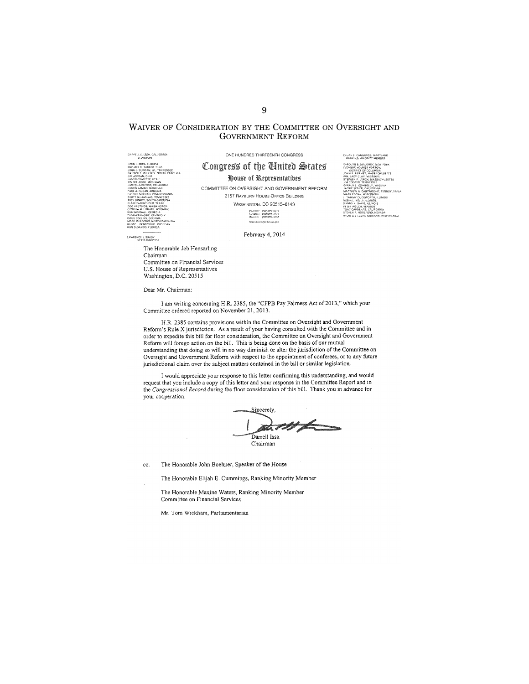## WAIVER OF CONSIDERATION BY THE COMMITTEE ON OVERSIGHT AND **GOVERNMENT REFORM**

DARRELL E. ISSA, CALIFORNIA **CHADRINAN<br>LEMICA, FLORIDA<br>SE R. T. TRIMER, ORIO<br>J. DUNCAN, GR. TENNESSEE<br>CK T. McHENRY, NORTH CARC<br>CK T. McHENRY, NORTH CARC<br>ALGOSAR, ARIZONA<br>A. GOSAR, ARIZONA<br>A. GOSAR, ARIZONA** 

LAWRENCE J. BRADY<br>STAFF DIRECTOR

ONE HUNDRED THIRTEENTH CONGRESS

ELLAN E. CUMMINGS, MARYLAND<br>RANKING MINORITY MEMBER

" ARNEWS MINORITY MEMBER<br>CAROLYM B, MALONEY, NEW YORK<br>JUSTING THE COLUMBIA<br>JONN F THERMY, MASSACHUSETTS<br>JONN F THERMY, MASSACHUSETTS<br>WEDPERT CANNING MORE TRANSPORT<br>GRALD E CONNOLLY, VRGUNA<br>GEOPER TENNISSEE<br>CAROLY STREET, C

**EDENTIFY, AND SERVE AND PERFECT CONFORMATION**<br>FERE CARIFORMS PERFECT PERFECT AND NEVER CAN INSCONSIN<br>CAN INSCONSIN<br>NEUR AND NEVER FILINGS<br>IN THE VERMONT<br>THE VERMONT THE VERMONT

' K. Davis, Klinois<br>Welch, Vermon?<br>Jardenas, California<br>N.A. Horsford, Nevada<br>Lle Lujan Grisham, New Mexico

I<br>PENNSY:

## Congress of the Ginited States

#### House of Representatives

COMMITTEE ON OVERSIGHT AND GOVERNMENT REFORM 2157 RAYBURN HOUSE OFFICE BUILDING

WASHINGTON, DC 20515-6143

Maceum (202) 225-5074<br>Faccases (202) 225-3974<br>Millonny (202) 225-5051

February 4, 2014

The Honorable Jeb Hensarling Chairman Committee on Financial Services U.S. House of Representatives Washington, D.C. 20515

Dear Mr. Chairman:

I am writing concerning H.R. 2385, the "CFPB Pay Fairness Act of 2013," which your Committee ordered reported on November 21, 2013.

H.R. 2385 contains provisions within the Committee on Oversight and Government Reform's Rule X jurisdiction. As a result of your having consulted with the Committee and in order to expedite this bill for floor consideration, the Committee on Oversight and Government Reform will forego action on the bill. This is being done on the basis of our mutual understanding that doing so will in no way diminish or alter the jurisdiction of the Committee on Oversight and Government Reform with respect to the appointment of conferees, or to any future jurisdictional claim over the subject matters contained in the bill or similar legislation.

I would appreciate your response to this letter confirming this understanding, and would request that you include a copy of this letter and your response in the Committee Report and in the Congressional Record during the floor consideration of this bill. Thank you in advance for your cooperation.



The Honorable John Boehner, Speaker of the House cc:

The Honorable Elijah E. Cummings, Ranking Minority Member

The Honorable Maxine Waters, Ranking Minority Member Committee on Financial Services

Mr. Tom Wickham, Parliamentarian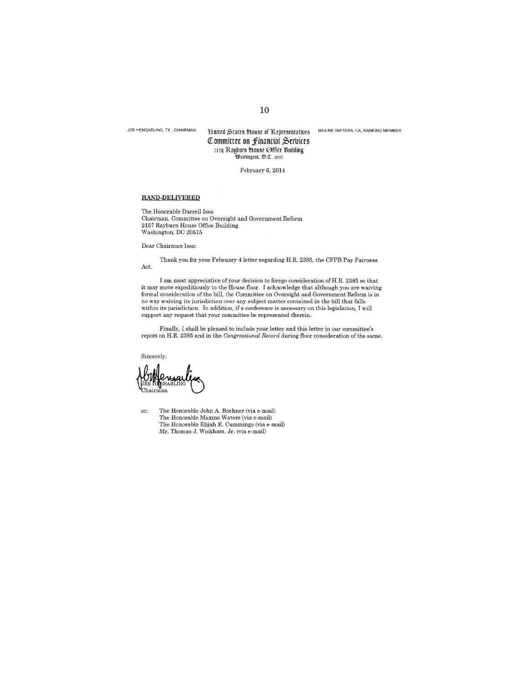JEB HENSARLING, TX, CHAIRMAN

# Hilled States House of Representatives MAXINE WATERS, CA, RANKING MEMBER Committee on financial Services 2129 Rayburn House Office Building<br>
Washington, D.C. 20315

February 6, 2014

### HAND-DELIVERED

The Honorable Darrell Issa Chairman, Committee on Oversight and Government Reform<br>2157 Rayburn House Office Building Washington, DC 20515

Dear Chairman Issa:

Thank you for your February 4 letter regarding H.R. 2385, the CFPB Pay Fairness Act.

I am most appreciative of your decision to forego consideration of H.R. 2385 so that it may move expeditiously to the House floor. I acknowledge that although you are waiving formal consideration of the bill, the Committee on Oversight and Government Reform is in no way waiving its jurisdiction over any subject matter contained in the bill that falls within its jurisdiction. In addition, if a conference is necessary on this legislation, I will support any request that your committee be represented therein.

Finally, I shall be pleased to include your letter and this letter in our committee's report on H.R. 2385 and in the Congressional Record during floor consideration of the same.

Sincerely,

cc: The Honorable John A. Boehner (via e-mail) The Honorable Maxine Waters (via e-mail) The Honorable Elijah E. Cummings (via e-mail) Mr. Thomas J. Wickham, Jr. (via e-mail)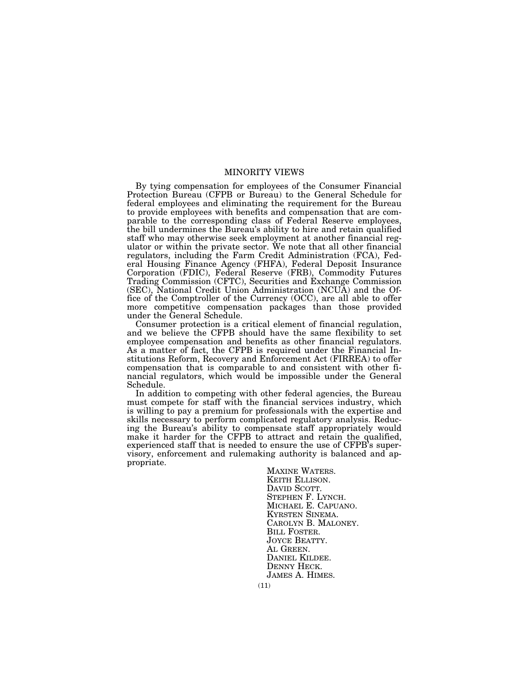## MINORITY VIEWS

By tying compensation for employees of the Consumer Financial Protection Bureau (CFPB or Bureau) to the General Schedule for federal employees and eliminating the requirement for the Bureau to provide employees with benefits and compensation that are comparable to the corresponding class of Federal Reserve employees, the bill undermines the Bureau's ability to hire and retain qualified staff who may otherwise seek employment at another financial regulator or within the private sector. We note that all other financial regulators, including the Farm Credit Administration (FCA), Federal Housing Finance Agency (FHFA), Federal Deposit Insurance Corporation (FDIC), Federal Reserve (FRB), Commodity Futures Trading Commission (CFTC), Securities and Exchange Commission (SEC), National Credit Union Administration (NCUA) and the Office of the Comptroller of the Currency (OCC), are all able to offer more competitive compensation packages than those provided under the General Schedule.

Consumer protection is a critical element of financial regulation, and we believe the CFPB should have the same flexibility to set employee compensation and benefits as other financial regulators. As a matter of fact, the CFPB is required under the Financial Institutions Reform, Recovery and Enforcement Act (FIRREA) to offer compensation that is comparable to and consistent with other financial regulators, which would be impossible under the General Schedule.

In addition to competing with other federal agencies, the Bureau must compete for staff with the financial services industry, which is willing to pay a premium for professionals with the expertise and skills necessary to perform complicated regulatory analysis. Reducing the Bureau's ability to compensate staff appropriately would make it harder for the CFPB to attract and retain the qualified, experienced staff that is needed to ensure the use of CFPB's supervisory, enforcement and rulemaking authority is balanced and appropriate.

> MAXINE WATERS.<br>KEITH ELLISON.<br>DAVID SCOTT.<br>STEPHEN F. LYNCH.<br>MICHAEL E. CAPUANO.<br>KYRSTEN SINEMA.<br>CAROLYN B. MALONEY.<br>BILL FOSTER.<br>JOYCE BEATTY.<br>AL GREEN. DANIEL KILDEE. DENNY HECK. JAMES A. HIMES.